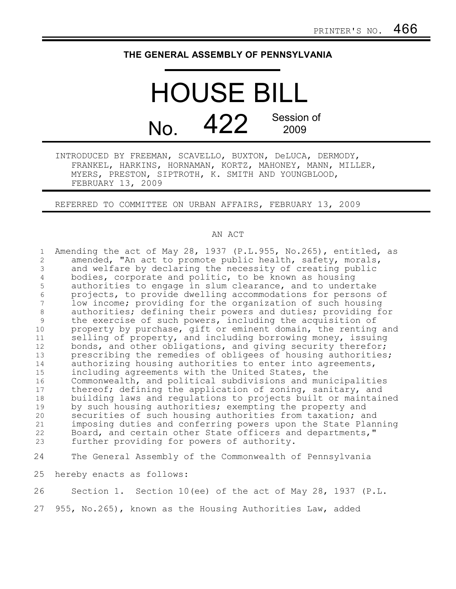## **THE GENERAL ASSEMBLY OF PENNSYLVANIA**

HOUSE BILL  $N<sub>0</sub>$  422 Session of 2009

INTRODUCED BY FREEMAN, SCAVELLO, BUXTON, DeLUCA, DERMODY, FRANKEL, HARKINS, HORNAMAN, KORTZ, MAHONEY, MANN, MILLER, MYERS, PRESTON, SIPTROTH, K. SMITH AND YOUNGBLOOD, FEBRUARY 13, 2009

REFERRED TO COMMITTEE ON URBAN AFFAIRS, FEBRUARY 13, 2009

## AN ACT

Amending the act of May 28, 1937 (P.L.955, No.265), entitled, as amended, "An act to promote public health, safety, morals, and welfare by declaring the necessity of creating public bodies, corporate and politic, to be known as housing authorities to engage in slum clearance, and to undertake projects, to provide dwelling accommodations for persons of low income; providing for the organization of such housing authorities; defining their powers and duties; providing for the exercise of such powers, including the acquisition of property by purchase, gift or eminent domain, the renting and selling of property, and including borrowing money, issuing bonds, and other obligations, and giving security therefor; prescribing the remedies of obligees of housing authorities; authorizing housing authorities to enter into agreements, including agreements with the United States, the Commonwealth, and political subdivisions and municipalities thereof; defining the application of zoning, sanitary, and building laws and regulations to projects built or maintained by such housing authorities; exempting the property and securities of such housing authorities from taxation; and imposing duties and conferring powers upon the State Planning Board, and certain other State officers and departments," further providing for powers of authority. The General Assembly of the Commonwealth of Pennsylvania hereby enacts as follows: 1 2 3 4 5 6 7 8 9 10 11 12 13 14 15 16 17 18 19 20 21 22 23 24 25

Section 1. Section 10(ee) of the act of May 28, 1937 (P.L. 26

955, No.265), known as the Housing Authorities Law, added 27